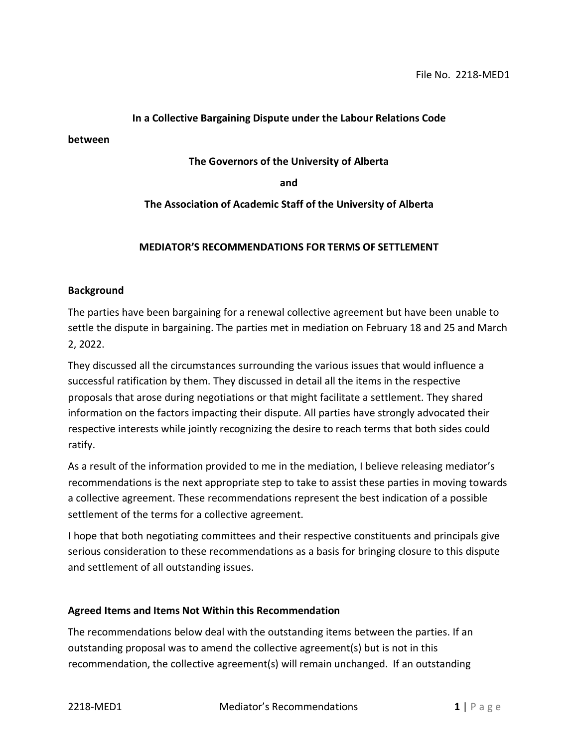#### **In a Collective Bargaining Dispute under the Labour Relations Code**

**between**

#### **The Governors of the University of Alberta**

**and**

#### **The Association of Academic Staff of the University of Alberta**

#### **MEDIATOR'S RECOMMENDATIONS FOR TERMS OF SETTLEMENT**

#### **Background**

The parties have been bargaining for a renewal collective agreement but have been unable to settle the dispute in bargaining. The parties met in mediation on February 18 and 25 and March 2, 2022.

They discussed all the circumstances surrounding the various issues that would influence a successful ratification by them. They discussed in detail all the items in the respective proposals that arose during negotiations or that might facilitate a settlement. They shared information on the factors impacting their dispute. All parties have strongly advocated their respective interests while jointly recognizing the desire to reach terms that both sides could ratify.

As a result of the information provided to me in the mediation, I believe releasing mediator's recommendations is the next appropriate step to take to assist these parties in moving towards a collective agreement. These recommendations represent the best indication of a possible settlement of the terms for a collective agreement.

I hope that both negotiating committees and their respective constituents and principals give serious consideration to these recommendations as a basis for bringing closure to this dispute and settlement of all outstanding issues.

#### **Agreed Items and Items Not Within this Recommendation**

The recommendations below deal with the outstanding items between the parties. If an outstanding proposal was to amend the collective agreement(s) but is not in this recommendation, the collective agreement(s) will remain unchanged. If an outstanding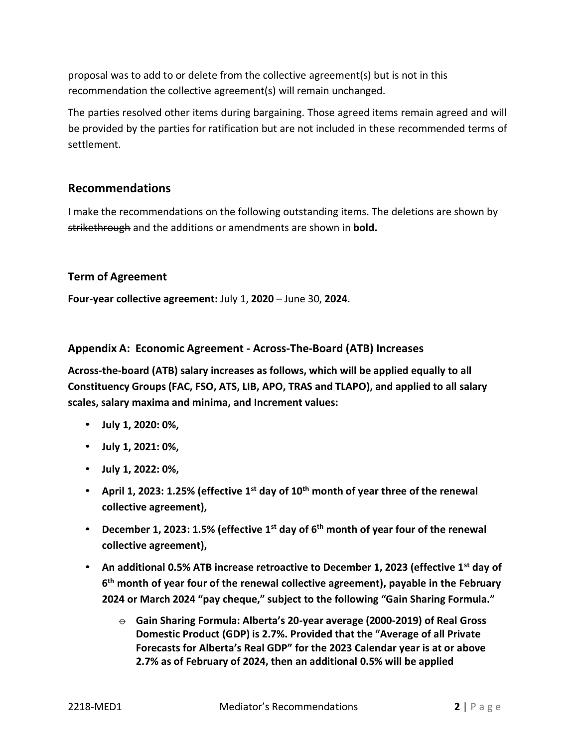proposal was to add to or delete from the collective agreement(s) but is not in this recommendation the collective agreement(s) will remain unchanged.

The parties resolved other items during bargaining. Those agreed items remain agreed and will be provided by the parties for ratification but are not included in these recommended terms of settlement.

# **Recommendations**

I make the recommendations on the following outstanding items. The deletions are shown by strikethrough and the additions or amendments are shown in **bold.**

## **Term of Agreement**

**Four-year collective agreement:** July 1, **2020** – June 30, **2024**.

## **Appendix A: Economic Agreement - Across-The-Board (ATB) Increases**

**Across-the-board (ATB) salary increases as follows, which will be applied equally to all Constituency Groups (FAC, FSO, ATS, LIB, APO, TRAS and TLAPO), and applied to all salary scales, salary maxima and minima, and Increment values:**

- **July 1, 2020: 0%,**
- **July 1, 2021: 0%,**
- **July 1, 2022: 0%,**
- **April 1, 2023: 1.25% (effective 1st day of 10th month of year three of the renewal collective agreement),**
- **December 1, 2023: 1.5% (effective 1st day of 6th month of year four of the renewal collective agreement),**
- **An additional 0.5% ATB increase retroactive to December 1, 2023 (effective 1st day of 6 th month of year four of the renewal collective agreement), payable in the February 2024 or March 2024 "pay cheque," subject to the following "Gain Sharing Formula."**
	- $\ominus$  Gain Sharing Formula: Alberta's 20-year average (2000-2019) of Real Gross **Domestic Product (GDP) is 2.7%. Provided that the "Average of all Private Forecasts for Alberta's Real GDP" for the 2023 Calendar year is at or above 2.7% as of February of 2024, then an additional 0.5% will be applied**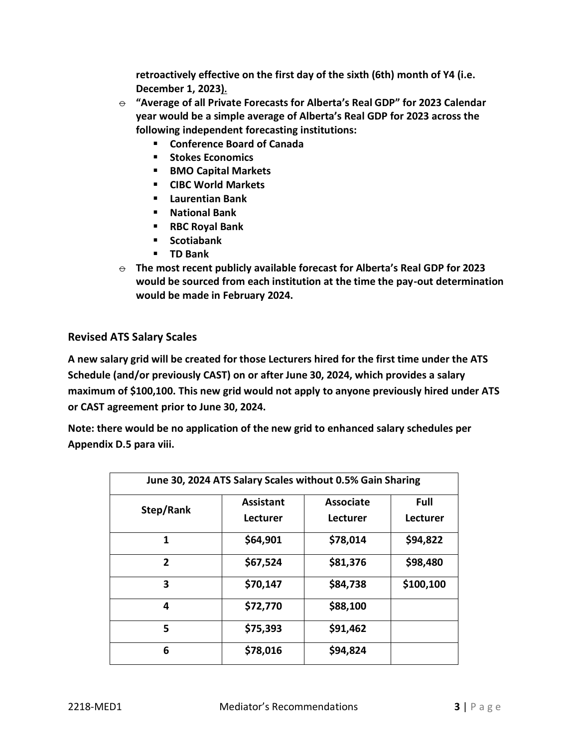**retroactively effective on the first day of the sixth (6th) month of Y4 (i.e. December 1, 2023).**

- $\theta$  "Average of all Private Forecasts for Alberta's Real GDP" for 2023 Calendar **year would be a simple average of Alberta's Real GDP for 2023 across the following independent forecasting institutions:**
	- **Conference Board of Canada**
	- **Stokes Economics**
	- **BMO Capital Markets**
	- **CIBC World Markets**
	- **Laurentian Bank**
	- **National Bank**
	- **RBC Royal Bank**
	- **Scotiabank**
	- **TD Bank**
- $\Theta$  The most recent publicly available forecast for Alberta's Real GDP for 2023 **would be sourced from each institution at the time the pay-out determination would be made in February 2024.**

# **Revised ATS Salary Scales**

**A new salary grid will be created for those Lecturers hired for the first time under the ATS Schedule (and/or previously CAST) on or after June 30, 2024, which provides a salary maximum of \$100,100. This new grid would not apply to anyone previously hired under ATS or CAST agreement prior to June 30, 2024.**

**Note: there would be no application of the new grid to enhanced salary schedules per Appendix D.5 para viii.**

| June 30, 2024 ATS Salary Scales without 0.5% Gain Sharing |                              |                              |                         |
|-----------------------------------------------------------|------------------------------|------------------------------|-------------------------|
| Step/Rank                                                 | <b>Assistant</b><br>Lecturer | <b>Associate</b><br>Lecturer | <b>Full</b><br>Lecturer |
| 1                                                         | \$64,901                     | \$78,014                     | \$94,822                |
| $\mathbf{2}$                                              | \$67,524                     | \$81,376                     | \$98,480                |
| 3                                                         | \$70,147                     | \$84,738                     | \$100,100               |
| 4                                                         | \$72,770                     | \$88,100                     |                         |
| 5                                                         | \$75,393                     | \$91,462                     |                         |
| 6                                                         | \$78,016                     | \$94,824                     |                         |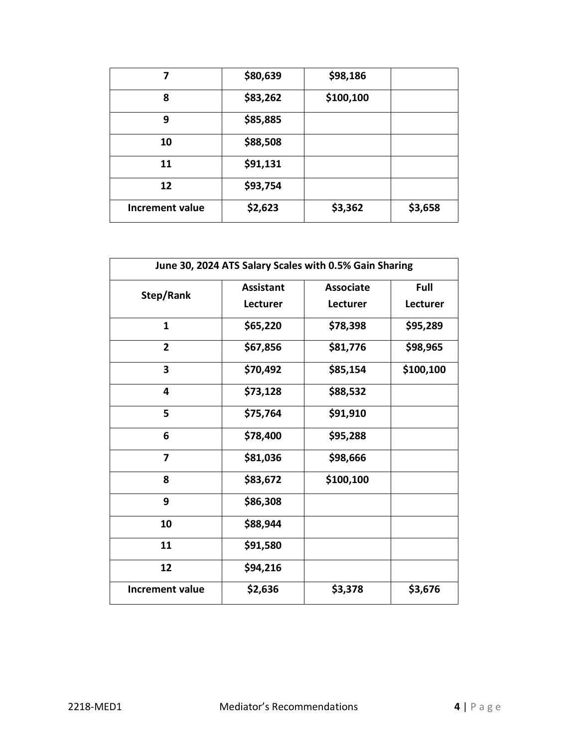| 7                      | \$80,639 | \$98,186  |         |
|------------------------|----------|-----------|---------|
| 8                      | \$83,262 | \$100,100 |         |
| 9                      | \$85,885 |           |         |
| 10                     | \$88,508 |           |         |
| 11                     | \$91,131 |           |         |
| 12                     | \$93,754 |           |         |
| <b>Increment value</b> | \$2,623  | \$3,362   | \$3,658 |

| June 30, 2024 ATS Salary Scales with 0.5% Gain Sharing |                  |                  |           |
|--------------------------------------------------------|------------------|------------------|-----------|
| Step/Rank                                              | <b>Assistant</b> | <b>Associate</b> | Full      |
|                                                        | <b>Lecturer</b>  | Lecturer         | Lecturer  |
| $\mathbf{1}$                                           | \$65,220         | \$78,398         | \$95,289  |
| $\overline{2}$                                         | \$67,856         | \$81,776         | \$98,965  |
| 3                                                      | \$70,492         | \$85,154         | \$100,100 |
| 4                                                      | \$73,128         | \$88,532         |           |
| 5                                                      | \$75,764         | \$91,910         |           |
| 6                                                      | \$78,400         | \$95,288         |           |
| 7                                                      | \$81,036         | \$98,666         |           |
| 8                                                      | \$83,672         | \$100,100        |           |
| 9                                                      | \$86,308         |                  |           |
| 10                                                     | \$88,944         |                  |           |
| 11                                                     | \$91,580         |                  |           |
| 12                                                     | \$94,216         |                  |           |
| <b>Increment value</b>                                 | \$2,636          | \$3,378          | \$3,676   |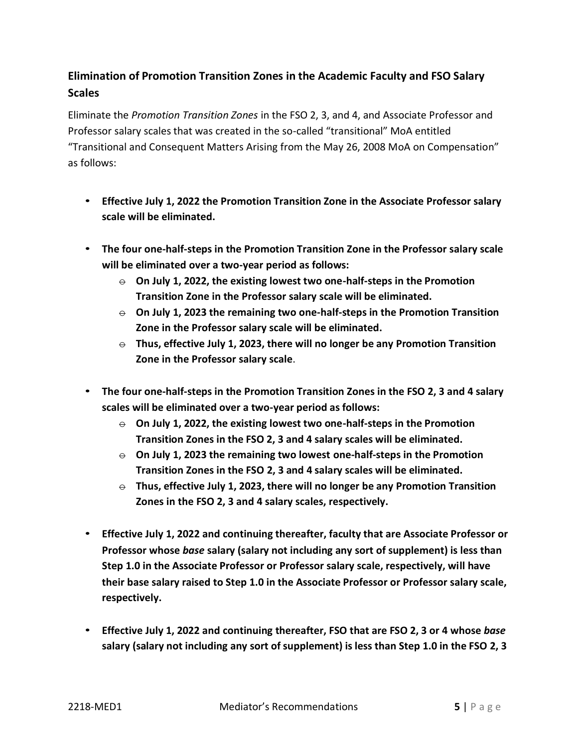# **Elimination of Promotion Transition Zones in the Academic Faculty and FSO Salary Scales**

Eliminate the *Promotion Transition Zones* in the FSO 2, 3, and 4, and Associate Professor and Professor salary scales that was created in the so-called "transitional" MoA entitled "Transitional and Consequent Matters Arising from the May 26, 2008 MoA on Compensation" as follows:

- **Effective July 1, 2022 the Promotion Transition Zone in the Associate Professor salary scale will be eliminated.**
- **The four one-half-steps in the Promotion Transition Zone in the Professor salary scale will be eliminated over a two-year period as follows:**
	- $\Theta$  **On July 1, 2022, the existing lowest two one-half-steps in the Promotion Transition Zone in the Professor salary scale will be eliminated.**
	- $\Theta$  **On July 1, 2023 the remaining two one-half-steps in the Promotion Transition Zone in the Professor salary scale will be eliminated.**
	- $\Theta$  Thus, effective July 1, 2023, there will no longer be any Promotion Transition **Zone in the Professor salary scale**.
- **The four one-half-steps in the Promotion Transition Zones in the FSO 2, 3 and 4 salary scales will be eliminated over a two-year period as follows:**
	- $\Theta$  **On July 1, 2022, the existing lowest two one-half-steps in the Promotion Transition Zones in the FSO 2, 3 and 4 salary scales will be eliminated.**
	- $\Theta$  **On July 1, 2023 the remaining two lowest one-half-steps in the Promotion Transition Zones in the FSO 2, 3 and 4 salary scales will be eliminated.**
	- $\Theta$  Thus, effective July 1, 2023, there will no longer be any Promotion Transition **Zones in the FSO 2, 3 and 4 salary scales, respectively.**
- **Effective July 1, 2022 and continuing thereafter, faculty that are Associate Professor or Professor whose** *base* **salary (salary not including any sort of supplement) is less than Step 1.0 in the Associate Professor or Professor salary scale, respectively, will have their base salary raised to Step 1.0 in the Associate Professor or Professor salary scale, respectively.**
- **Effective July 1, 2022 and continuing thereafter, FSO that are FSO 2, 3 or 4 whose** *base* **salary (salary not including any sort of supplement) is less than Step 1.0 in the FSO 2, 3**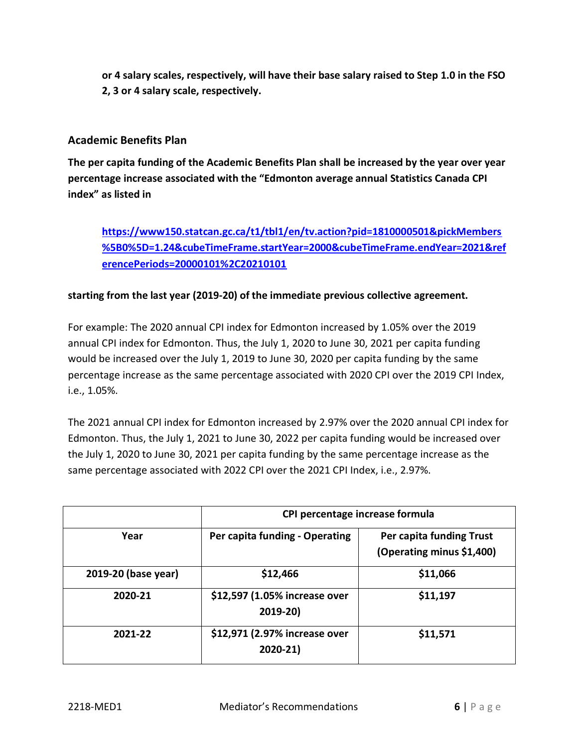**or 4 salary scales, respectively, will have their base salary raised to Step 1.0 in the FSO 2, 3 or 4 salary scale, respectively.**

# **Academic Benefits Plan**

**The per capita funding of the Academic Benefits Plan shall be increased by the year over year percentage increase associated with the "Edmonton average annual Statistics Canada CPI index" as listed in**

# **[https://www150.statcan.gc.ca/t1/tbl1/en/tv.action?pid=1810000501&pickMembers](https://www150.statcan.gc.ca/t1/tbl1/en/tv.action?pid=1810000501&pickMembers%5B0%5D=1.24&cubeTimeFrame.startYear=2000&cubeTimeFrame.endYear=2021&referencePeriods=20000101%2C20210101) [%5B0%5D=1.24&cubeTimeFrame.startYear=2000&cubeTimeFrame.endYear=2021&ref](https://www150.statcan.gc.ca/t1/tbl1/en/tv.action?pid=1810000501&pickMembers%5B0%5D=1.24&cubeTimeFrame.startYear=2000&cubeTimeFrame.endYear=2021&referencePeriods=20000101%2C20210101) [erencePeriods=20000101%2C20210101](https://www150.statcan.gc.ca/t1/tbl1/en/tv.action?pid=1810000501&pickMembers%5B0%5D=1.24&cubeTimeFrame.startYear=2000&cubeTimeFrame.endYear=2021&referencePeriods=20000101%2C20210101)**

# **starting from the last year (2019-20) of the immediate previous collective agreement.**

For example: The 2020 annual CPI index for Edmonton increased by 1.05% over the 2019 annual CPI index for Edmonton. Thus, the July 1, 2020 to June 30, 2021 per capita funding would be increased over the July 1, 2019 to June 30, 2020 per capita funding by the same percentage increase as the same percentage associated with 2020 CPI over the 2019 CPI Index, i.e., 1.05%.

The 2021 annual CPI index for Edmonton increased by 2.97% over the 2020 annual CPI index for Edmonton. Thus, the July 1, 2021 to June 30, 2022 per capita funding would be increased over the July 1, 2020 to June 30, 2021 per capita funding by the same percentage increase as the same percentage associated with 2022 CPI over the 2021 CPI Index, i.e., 2.97%.

|                     | CPI percentage increase formula           |                                                       |  |
|---------------------|-------------------------------------------|-------------------------------------------------------|--|
| Year                | Per capita funding - Operating            | Per capita funding Trust<br>(Operating minus \$1,400) |  |
| 2019-20 (base year) | \$12,466                                  | \$11,066                                              |  |
| 2020-21             | \$12,597 (1.05% increase over<br>2019-20) | \$11,197                                              |  |
| 2021-22             | \$12,971 (2.97% increase over<br>2020-21) | \$11,571                                              |  |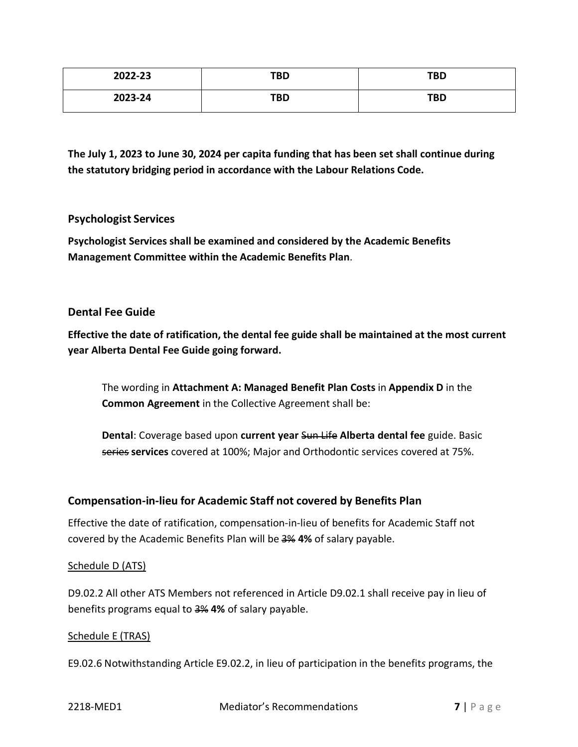| 2022-23 | TBD | <b>TBD</b> |
|---------|-----|------------|
| 2023-24 | TBD | <b>TBD</b> |

**The July 1, 2023 to June 30, 2024 per capita funding that has been set shall continue during the statutory bridging period in accordance with the Labour Relations Code.**

## **Psychologist Services**

**Psychologist Services shall be examined and considered by the Academic Benefits Management Committee within the Academic Benefits Plan**.

## **Dental Fee Guide**

**Effective the date of ratification, the dental fee guide shall be maintained at the most current year Alberta Dental Fee Guide going forward.**

The wording in **Attachment A: Managed Benefit Plan Costs** in **Appendix D** in the **Common Agreement** in the Collective Agreement shall be:

**Dental**: Coverage based upon **current year** Sun Life **Alberta dental fee** guide. Basic series **services** covered at 100%; Major and Orthodontic services covered at 75%.

# **Compensation-in-lieu for Academic Staff not covered by Benefits Plan**

Effective the date of ratification, compensation-in-lieu of benefits for Academic Staff not covered by the Academic Benefits Plan will be 3% **4%** of salary payable.

## Schedule D (ATS)

D9.02.2 All other ATS Members not referenced in Article D9.02.1 shall receive pay in lieu of benefits programs equal to 3% **4%** of salary payable.

## Schedule E (TRAS)

E9.02.6 Notwithstanding Article E9.02.2, in lieu of participation in the benefit*s* programs, the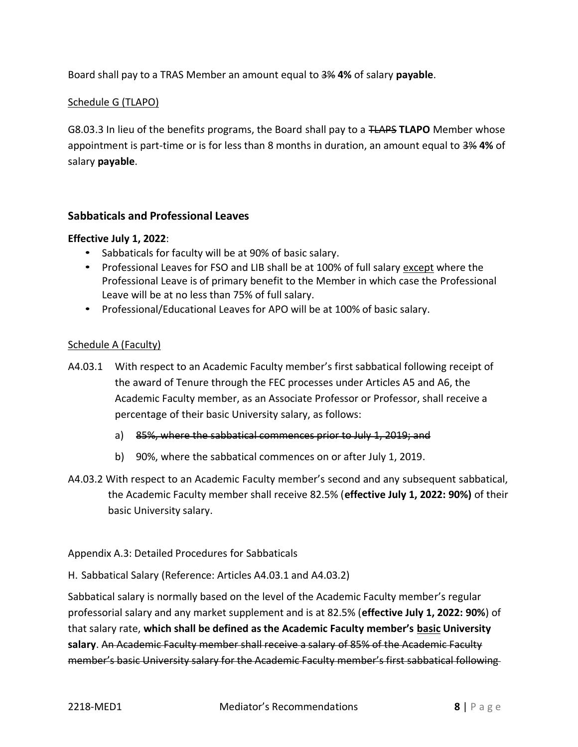Board shall pay to a TRAS Member an amount equal to 3% **4%** of salary **payable**.

## Schedule G (TLAPO)

G8.03.3 In lieu of the benefit*s* programs, the Board shall pay to a TLAPS **TLAPO** Member whose appointment is part-time or is for less than 8 months in duration, an amount equal to 3% **4%** of salary **payable**.

## **Sabbaticals and Professional Leaves**

#### **Effective July 1, 2022**:

- Sabbaticals for faculty will be at 90% of basic salary.
- Professional Leaves for FSO and LIB shall be at 100% of full salary except where the Professional Leave is of primary benefit to the Member in which case the Professional Leave will be at no less than 75% of full salary.
- Professional/Educational Leaves for APO will be at 100% of basic salary.

#### Schedule A (Faculty)

- A4.03.1 With respect to an Academic Faculty member's first sabbatical following receipt of the award of Tenure through the FEC processes under Articles A5 and A6, the Academic Faculty member, as an Associate Professor or Professor, shall receive a percentage of their basic University salary, as follows:
	- a) 85%, where the sabbatical commences prior to July 1, 2019; and
	- b) 90%, where the sabbatical commences on or after July 1, 2019.
- A4.03.2 With respect to an Academic Faculty member's second and any subsequent sabbatical, the Academic Faculty member shall receive 82.5% (**effective July 1, 2022: 90%)** of their basic University salary.

#### Appendix A.3: Detailed Procedures for Sabbaticals

H. Sabbatical Salary (Reference: Articles A4.03.1 and A4.03.2)

Sabbatical salary is normally based on the level of the Academic Faculty member's regular professorial salary and any market supplement and is at 82.5% (**effective July 1, 2022: 90%**) of that salary rate, **which shall be defined as the Academic Faculty member's basic University salary**. An Academic Faculty member shall receive a salary of 85% of the Academic Faculty member's basic University salary for the Academic Faculty member's first sabbatical following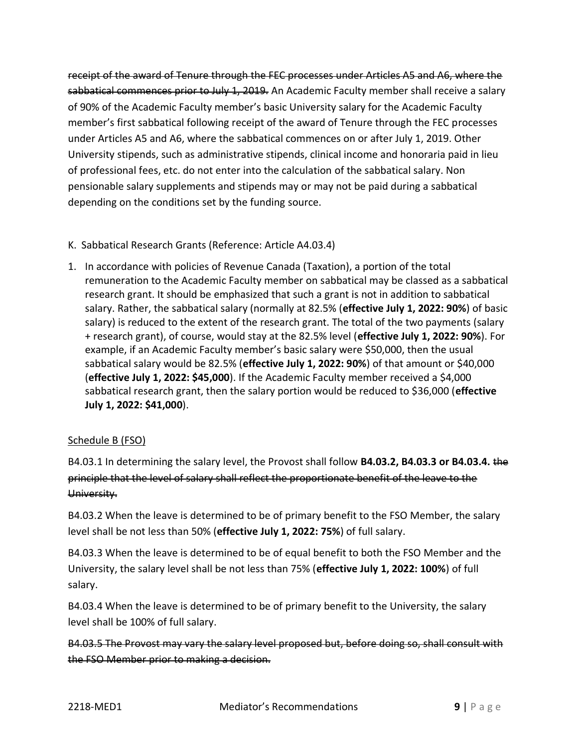receipt of the award of Tenure through the FEC processes under Articles A5 and A6, where the sabbatical commences prior to July 1, 2019. An Academic Faculty member shall receive a salary of 90% of the Academic Faculty member's basic University salary for the Academic Faculty member's first sabbatical following receipt of the award of Tenure through the FEC processes under Articles A5 and A6, where the sabbatical commences on or after July 1, 2019. Other University stipends, such as administrative stipends, clinical income and honoraria paid in lieu of professional fees, etc. do not enter into the calculation of the sabbatical salary. Non pensionable salary supplements and stipends may or may not be paid during a sabbatical depending on the conditions set by the funding source.

- K. Sabbatical Research Grants (Reference: Article A4.03.4)
- 1. In accordance with policies of Revenue Canada (Taxation), a portion of the total remuneration to the Academic Faculty member on sabbatical may be classed as a sabbatical research grant. It should be emphasized that such a grant is not in addition to sabbatical salary. Rather, the sabbatical salary (normally at 82.5% (**effective July 1, 2022: 90%**) of basic salary) is reduced to the extent of the research grant. The total of the two payments (salary + research grant), of course, would stay at the 82.5% level (**effective July 1, 2022: 90%**). For example, if an Academic Faculty member's basic salary were \$50,000, then the usual sabbatical salary would be 82.5% (**effective July 1, 2022: 90%**) of that amount or \$40,000 (**effective July 1, 2022: \$45,000**). If the Academic Faculty member received a \$4,000 sabbatical research grant, then the salary portion would be reduced to \$36,000 (**effective July 1, 2022: \$41,000**).

# Schedule B (FSO)

B4.03.1 In determining the salary level, the Provost shall follow **B4.03.2, B4.03.3 or B4.03.4.** the principle that the level of salary shall reflect the proportionate benefit of the leave to the University.

B4.03.2 When the leave is determined to be of primary benefit to the FSO Member, the salary level shall be not less than 50% (**effective July 1, 2022: 75%**) of full salary.

B4.03.3 When the leave is determined to be of equal benefit to both the FSO Member and the University, the salary level shall be not less than 75% (**effective July 1, 2022: 100%**) of full salary.

B4.03.4 When the leave is determined to be of primary benefit to the University, the salary level shall be 100% of full salary.

B4.03.5 The Provost may vary the salary level proposed but, before doing so, shall consult with the FSO Member prior to making a decision.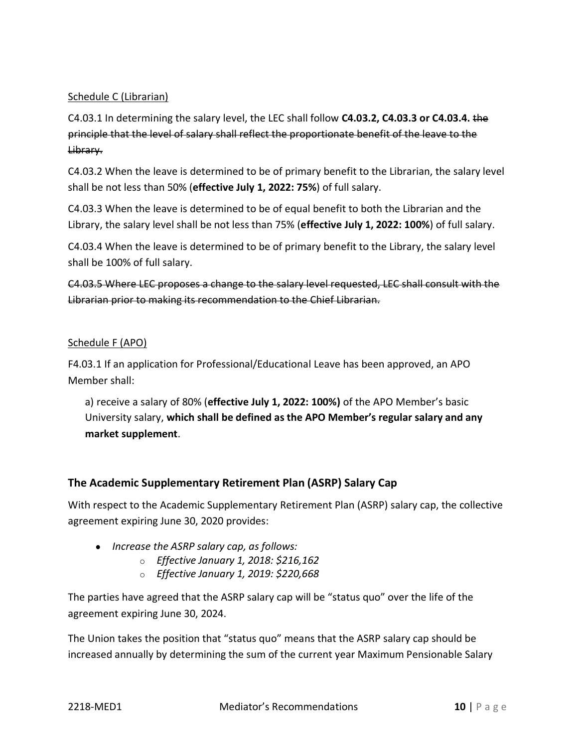## Schedule C (Librarian)

C4.03.1 In determining the salary level, the LEC shall follow **C4.03.2, C4.03.3 or C4.03.4.** the principle that the level of salary shall reflect the proportionate benefit of the leave to the Library.

C4.03.2 When the leave is determined to be of primary benefit to the Librarian, the salary level shall be not less than 50% (**effective July 1, 2022: 75%**) of full salary.

C4.03.3 When the leave is determined to be of equal benefit to both the Librarian and the Library, the salary level shall be not less than 75% (**effective July 1, 2022: 100%**) of full salary.

C4.03.4 When the leave is determined to be of primary benefit to the Library, the salary level shall be 100% of full salary.

C4.03.5 Where LEC proposes a change to the salary level requested, LEC shall consult with the Librarian prior to making its recommendation to the Chief Librarian.

## Schedule F (APO)

F4.03.1 If an application for Professional/Educational Leave has been approved, an APO Member shall:

a) receive a salary of 80% (**effective July 1, 2022: 100%)** of the APO Member's basic University salary, **which shall be defined as the APO Member's regular salary and any market supplement**.

# **The Academic Supplementary Retirement Plan (ASRP) Salary Cap**

With respect to the Academic Supplementary Retirement Plan (ASRP) salary cap, the collective agreement expiring June 30, 2020 provides:

- *Increase the ASRP salary cap, as follows:*
	- o *Effective January 1, 2018: \$216,162*
	- o *Effective January 1, 2019: \$220,668*

The parties have agreed that the ASRP salary cap will be "status quo" over the life of the agreement expiring June 30, 2024.

The Union takes the position that "status quo" means that the ASRP salary cap should be increased annually by determining the sum of the current year Maximum Pensionable Salary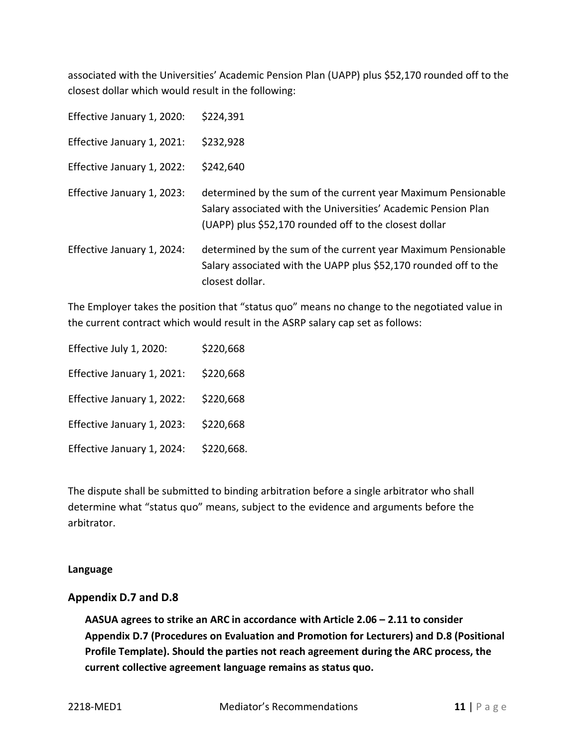associated with the Universities' Academic Pension Plan (UAPP) plus \$52,170 rounded off to the closest dollar which would result in the following:

| Effective January 1, 2020: | \$224,391                                                                                                                                                                                 |
|----------------------------|-------------------------------------------------------------------------------------------------------------------------------------------------------------------------------------------|
| Effective January 1, 2021: | \$232,928                                                                                                                                                                                 |
| Effective January 1, 2022: | \$242,640                                                                                                                                                                                 |
| Effective January 1, 2023: | determined by the sum of the current year Maximum Pensionable<br>Salary associated with the Universities' Academic Pension Plan<br>(UAPP) plus \$52,170 rounded off to the closest dollar |
| Effective January 1, 2024: | determined by the sum of the current year Maximum Pensionable<br>Salary associated with the UAPP plus \$52,170 rounded off to the<br>closest dollar.                                      |

The Employer takes the position that "status quo" means no change to the negotiated value in the current contract which would result in the ASRP salary cap set as follows:

| Effective July 1, 2020:    | \$220,668  |
|----------------------------|------------|
| Effective January 1, 2021: | \$220,668  |
| Effective January 1, 2022: | \$220,668  |
| Effective January 1, 2023: | \$220,668  |
| Effective January 1, 2024: | \$220,668. |

The dispute shall be submitted to binding arbitration before a single arbitrator who shall determine what "status quo" means, subject to the evidence and arguments before the arbitrator.

## **Language**

## **Appendix D.7 and D.8**

**AASUA agrees to strike an ARC in accordance with Article 2.06 – 2.11 to consider Appendix D.7 (Procedures on Evaluation and Promotion for Lecturers) and D.8 (Positional Profile Template). Should the parties not reach agreement during the ARC process, the current collective agreement language remains as status quo.**